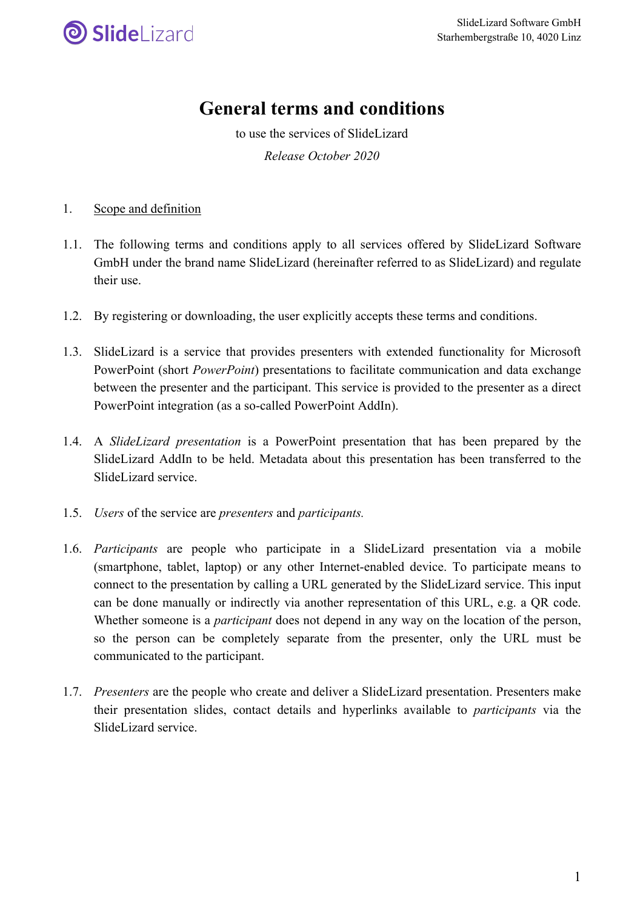

# **General terms and conditions**

to use the services of SlideLizard *Release October 2020*

#### 1. Scope and definition

- 1.1. The following terms and conditions apply to all services offered by SlideLizard Software GmbH under the brand name SlideLizard (hereinafter referred to as SlideLizard) and regulate their use.
- 1.2. By registering or downloading, the user explicitly accepts these terms and conditions.
- 1.3. SlideLizard is a service that provides presenters with extended functionality for Microsoft PowerPoint (short *PowerPoint*) presentations to facilitate communication and data exchange between the presenter and the participant. This service is provided to the presenter as a direct PowerPoint integration (as a so-called PowerPoint AddIn).
- 1.4. A *SlideLizard presentation* is a PowerPoint presentation that has been prepared by the SlideLizard AddIn to be held. Metadata about this presentation has been transferred to the SlideLizard service.
- 1.5. *Users* of the service are *presenters* and *participants.*
- 1.6. *Participants* are people who participate in a SlideLizard presentation via a mobile (smartphone, tablet, laptop) or any other Internet-enabled device. To participate means to connect to the presentation by calling a URL generated by the SlideLizard service. This input can be done manually or indirectly via another representation of this URL, e.g. a QR code. Whether someone is a *participant* does not depend in any way on the location of the person, so the person can be completely separate from the presenter, only the URL must be communicated to the participant.
- 1.7. *Presenters* are the people who create and deliver a SlideLizard presentation. Presenters make their presentation slides, contact details and hyperlinks available to *participants* via the SlideLizard service.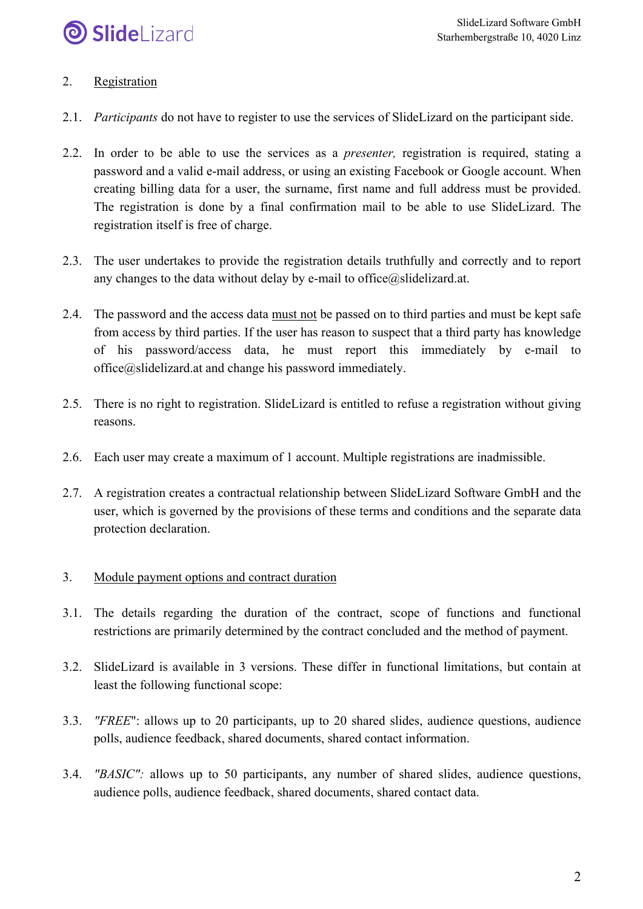

# 2. Registration

- 2.1. *Participants* do not have to register to use the services of SlideLizard on the participant side.
- 2.2. In order to be able to use the services as a *presenter,* registration is required, stating a password and a valid e-mail address, or using an existing Facebook or Google account. When creating billing data for a user, the surname, first name and full address must be provided. The registration is done by a final confirmation mail to be able to use SlideLizard. The registration itself is free of charge.
- 2.3. The user undertakes to provide the registration details truthfully and correctly and to report any changes to the data without delay by e-mail to office@slidelizard.at.
- 2.4. The password and the access data must not be passed on to third parties and must be kept safe from access by third parties. If the user has reason to suspect that a third party has knowledge of his password/access data, he must report this immediately by e-mail to office@slidelizard.at and change his password immediately.
- 2.5. There is no right to registration. SlideLizard is entitled to refuse a registration without giving reasons.
- 2.6. Each user may create a maximum of 1 account. Multiple registrations are inadmissible.
- 2.7. A registration creates a contractual relationship between SlideLizard Software GmbH and the user, which is governed by the provisions of these terms and conditions and the separate data protection declaration.
- 3. Module payment options and contract duration
- 3.1. The details regarding the duration of the contract, scope of functions and functional restrictions are primarily determined by the contract concluded and the method of payment.
- 3.2. SlideLizard is available in 3 versions. These differ in functional limitations, but contain at least the following functional scope:
- 3.3. *"FREE*": allows up to 20 participants, up to 20 shared slides, audience questions, audience polls, audience feedback, shared documents, shared contact information.
- 3.4. *"BASIC":* allows up to 50 participants, any number of shared slides, audience questions, audience polls, audience feedback, shared documents, shared contact data.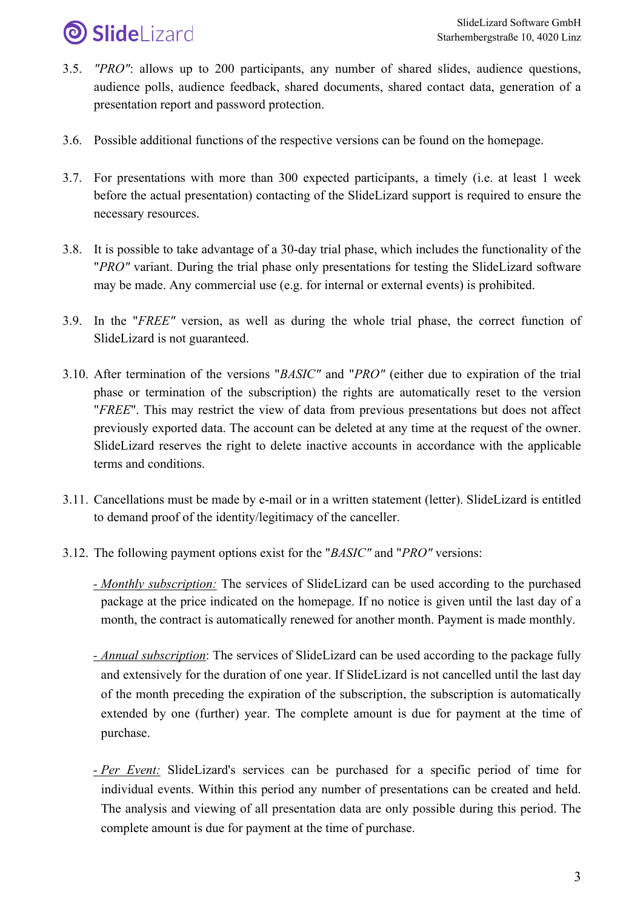

- 3.5. *"PRO"*: allows up to 200 participants, any number of shared slides, audience questions, audience polls, audience feedback, shared documents, shared contact data, generation of a presentation report and password protection.
- 3.6. Possible additional functions of the respective versions can be found on the homepage.
- 3.7. For presentations with more than 300 expected participants, a timely (i.e. at least 1 week before the actual presentation) contacting of the SlideLizard support is required to ensure the necessary resources.
- 3.8. It is possible to take advantage of a 30-day trial phase, which includes the functionality of the "*PRO"* variant. During the trial phase only presentations for testing the SlideLizard software may be made. Any commercial use (e.g. for internal or external events) is prohibited.
- 3.9. In the "*FREE"* version, as well as during the whole trial phase, the correct function of SlideLizard is not guaranteed.
- 3.10. After termination of the versions "*BASIC"* and "*PRO"* (either due to expiration of the trial phase or termination of the subscription) the rights are automatically reset to the version "*FREE*". This may restrict the view of data from previous presentations but does not affect previously exported data. The account can be deleted at any time at the request of the owner. SlideLizard reserves the right to delete inactive accounts in accordance with the applicable terms and conditions.
- 3.11. Cancellations must be made by e-mail or in a written statement (letter). SlideLizard is entitled to demand proof of the identity/legitimacy of the canceller.
- 3.12. The following payment options exist for the "*BASIC"* and "*PRO"* versions:
	- *- Monthly subscription:* The services of SlideLizard can be used according to the purchased package at the price indicated on the homepage. If no notice is given until the last day of a month, the contract is automatically renewed for another month. Payment is made monthly.
	- *- Annual subscription*: The services of SlideLizard can be used according to the package fully and extensively for the duration of one year. If SlideLizard is not cancelled until the last day of the month preceding the expiration of the subscription, the subscription is automatically extended by one (further) year. The complete amount is due for payment at the time of purchase.
	- *- Per Event:* SlideLizard's services can be purchased for a specific period of time for individual events. Within this period any number of presentations can be created and held. The analysis and viewing of all presentation data are only possible during this period. The complete amount is due for payment at the time of purchase.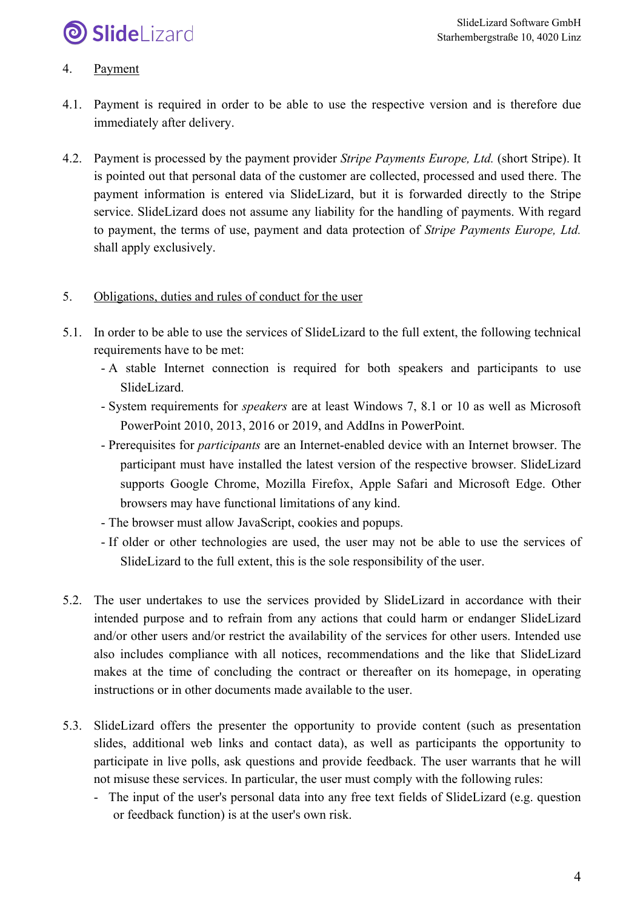

# 4. Payment

- 4.1. Payment is required in order to be able to use the respective version and is therefore due immediately after delivery.
- 4.2. Payment is processed by the payment provider *Stripe Payments Europe, Ltd.* (short Stripe). It is pointed out that personal data of the customer are collected, processed and used there. The payment information is entered via SlideLizard, but it is forwarded directly to the Stripe service. SlideLizard does not assume any liability for the handling of payments. With regard to payment, the terms of use, payment and data protection of *Stripe Payments Europe, Ltd.*  shall apply exclusively.

#### 5. Obligations, duties and rules of conduct for the user

- 5.1. In order to be able to use the services of SlideLizard to the full extent, the following technical requirements have to be met:
	- A stable Internet connection is required for both speakers and participants to use SlideLizard.
	- System requirements for *speakers* are at least Windows 7, 8.1 or 10 as well as Microsoft PowerPoint 2010, 2013, 2016 or 2019, and AddIns in PowerPoint.
	- Prerequisites for *participants* are an Internet-enabled device with an Internet browser. The participant must have installed the latest version of the respective browser. SlideLizard supports Google Chrome, Mozilla Firefox, Apple Safari and Microsoft Edge. Other browsers may have functional limitations of any kind.
	- The browser must allow JavaScript, cookies and popups.
	- If older or other technologies are used, the user may not be able to use the services of SlideLizard to the full extent, this is the sole responsibility of the user.
- 5.2. The user undertakes to use the services provided by SlideLizard in accordance with their intended purpose and to refrain from any actions that could harm or endanger SlideLizard and/or other users and/or restrict the availability of the services for other users. Intended use also includes compliance with all notices, recommendations and the like that SlideLizard makes at the time of concluding the contract or thereafter on its homepage, in operating instructions or in other documents made available to the user.
- 5.3. SlideLizard offers the presenter the opportunity to provide content (such as presentation slides, additional web links and contact data), as well as participants the opportunity to participate in live polls, ask questions and provide feedback. The user warrants that he will not misuse these services. In particular, the user must comply with the following rules:
	- The input of the user's personal data into any free text fields of SlideLizard (e.g. question or feedback function) is at the user's own risk.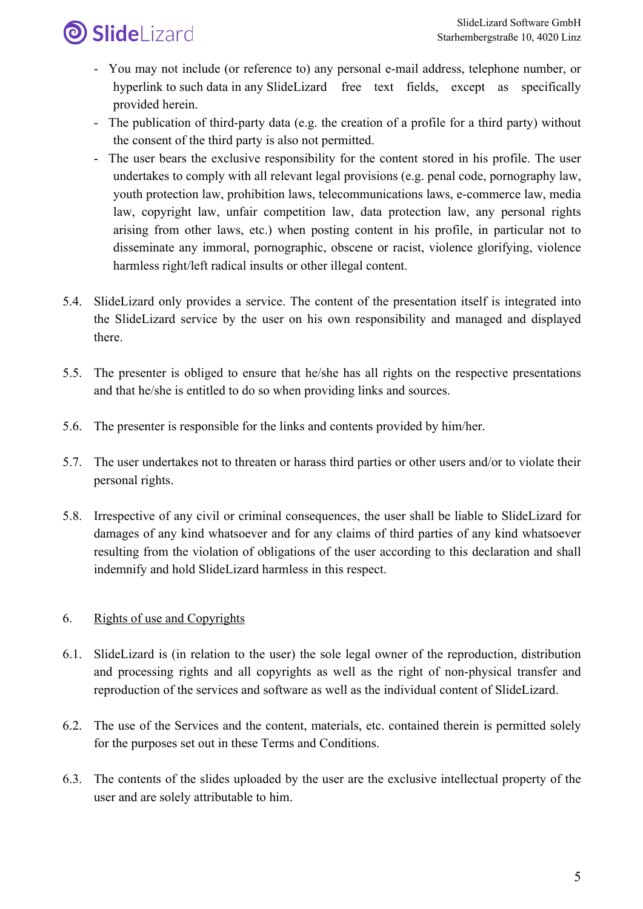

- You may not include (or reference to) any personal e-mail address, telephone number, or hyperlink to such data in any SlideLizard free text fields, except as specifically provided herein.
- The publication of third-party data (e.g. the creation of a profile for a third party) without the consent of the third party is also not permitted.
- The user bears the exclusive responsibility for the content stored in his profile. The user undertakes to comply with all relevant legal provisions (e.g. penal code, pornography law, youth protection law, prohibition laws, telecommunications laws, e-commerce law, media law, copyright law, unfair competition law, data protection law, any personal rights arising from other laws, etc.) when posting content in his profile, in particular not to disseminate any immoral, pornographic, obscene or racist, violence glorifying, violence harmless right/left radical insults or other illegal content.
- 5.4. SlideLizard only provides a service. The content of the presentation itself is integrated into the SlideLizard service by the user on his own responsibility and managed and displayed there.
- 5.5. The presenter is obliged to ensure that he/she has all rights on the respective presentations and that he/she is entitled to do so when providing links and sources.
- 5.6. The presenter is responsible for the links and contents provided by him/her.
- 5.7. The user undertakes not to threaten or harass third parties or other users and/or to violate their personal rights.
- 5.8. Irrespective of any civil or criminal consequences, the user shall be liable to SlideLizard for damages of any kind whatsoever and for any claims of third parties of any kind whatsoever resulting from the violation of obligations of the user according to this declaration and shall indemnify and hold SlideLizard harmless in this respect.

## 6. Rights of use and Copyrights

- 6.1. SlideLizard is (in relation to the user) the sole legal owner of the reproduction, distribution and processing rights and all copyrights as well as the right of non-physical transfer and reproduction of the services and software as well as the individual content of SlideLizard.
- 6.2. The use of the Services and the content, materials, etc. contained therein is permitted solely for the purposes set out in these Terms and Conditions.
- 6.3. The contents of the slides uploaded by the user are the exclusive intellectual property of the user and are solely attributable to him.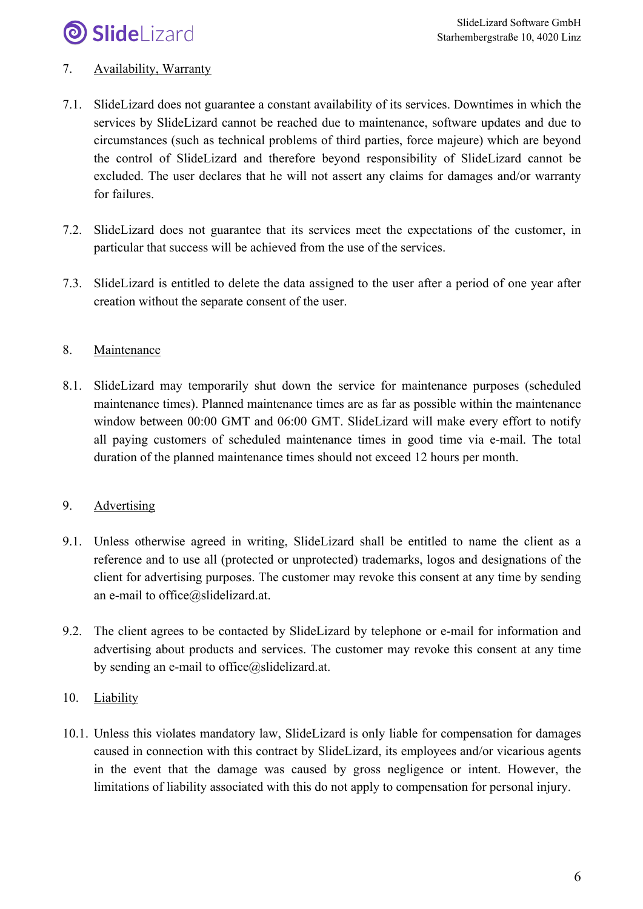

# 7. Availability, Warranty

- 7.1. SlideLizard does not guarantee a constant availability of its services. Downtimes in which the services by SlideLizard cannot be reached due to maintenance, software updates and due to circumstances (such as technical problems of third parties, force majeure) which are beyond the control of SlideLizard and therefore beyond responsibility of SlideLizard cannot be excluded. The user declares that he will not assert any claims for damages and/or warranty for failures.
- 7.2. SlideLizard does not guarantee that its services meet the expectations of the customer, in particular that success will be achieved from the use of the services.
- 7.3. SlideLizard is entitled to delete the data assigned to the user after a period of one year after creation without the separate consent of the user.

## 8. Maintenance

8.1. SlideLizard may temporarily shut down the service for maintenance purposes (scheduled maintenance times). Planned maintenance times are as far as possible within the maintenance window between 00:00 GMT and 06:00 GMT. SlideLizard will make every effort to notify all paying customers of scheduled maintenance times in good time via e-mail. The total duration of the planned maintenance times should not exceed 12 hours per month.

#### 9. Advertising

- 9.1. Unless otherwise agreed in writing, SlideLizard shall be entitled to name the client as a reference and to use all (protected or unprotected) trademarks, logos and designations of the client for advertising purposes. The customer may revoke this consent at any time by sending an e-mail to office@slidelizard.at.
- 9.2. The client agrees to be contacted by SlideLizard by telephone or e-mail for information and advertising about products and services. The customer may revoke this consent at any time by sending an e-mail to office $@$ slidelizard.at.
- 10. Liability
- 10.1. Unless this violates mandatory law, SlideLizard is only liable for compensation for damages caused in connection with this contract by SlideLizard, its employees and/or vicarious agents in the event that the damage was caused by gross negligence or intent. However, the limitations of liability associated with this do not apply to compensation for personal injury.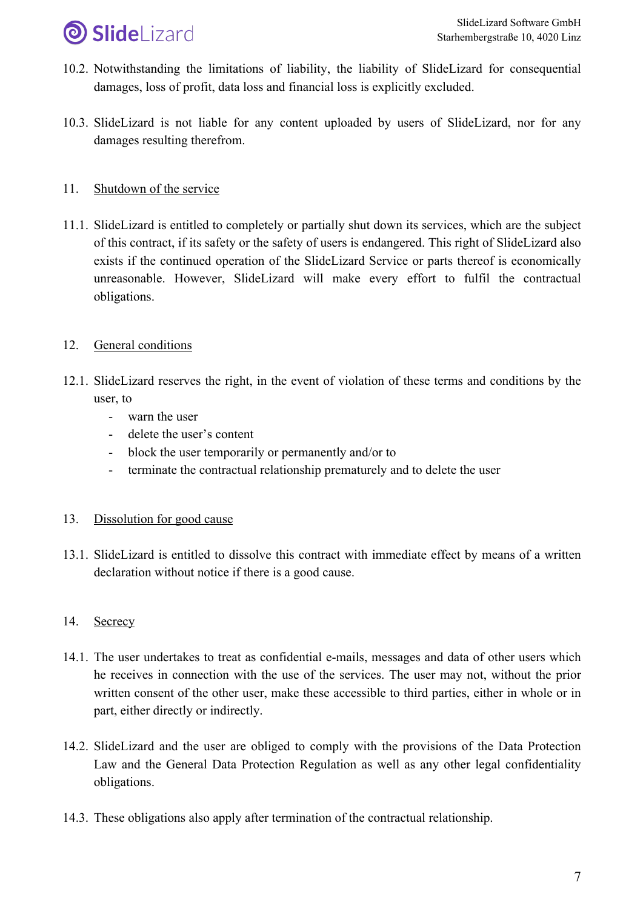

- 10.2. Notwithstanding the limitations of liability, the liability of SlideLizard for consequential damages, loss of profit, data loss and financial loss is explicitly excluded.
- 10.3. SlideLizard is not liable for any content uploaded by users of SlideLizard, nor for any damages resulting therefrom.

## 11. Shutdown of the service

11.1. SlideLizard is entitled to completely or partially shut down its services, which are the subject of this contract, if its safety or the safety of users is endangered. This right of SlideLizard also exists if the continued operation of the SlideLizard Service or parts thereof is economically unreasonable. However, SlideLizard will make every effort to fulfil the contractual obligations.

## 12. General conditions

- 12.1. SlideLizard reserves the right, in the event of violation of these terms and conditions by the user, to
	- warn the user
	- delete the user's content
	- block the user temporarily or permanently and/or to
	- terminate the contractual relationship prematurely and to delete the user

#### 13. Dissolution for good cause

13.1. SlideLizard is entitled to dissolve this contract with immediate effect by means of a written declaration without notice if there is a good cause.

#### 14. Secrecy

- 14.1. The user undertakes to treat as confidential e-mails, messages and data of other users which he receives in connection with the use of the services. The user may not, without the prior written consent of the other user, make these accessible to third parties, either in whole or in part, either directly or indirectly.
- 14.2. SlideLizard and the user are obliged to comply with the provisions of the Data Protection Law and the General Data Protection Regulation as well as any other legal confidentiality obligations.
- 14.3. These obligations also apply after termination of the contractual relationship.